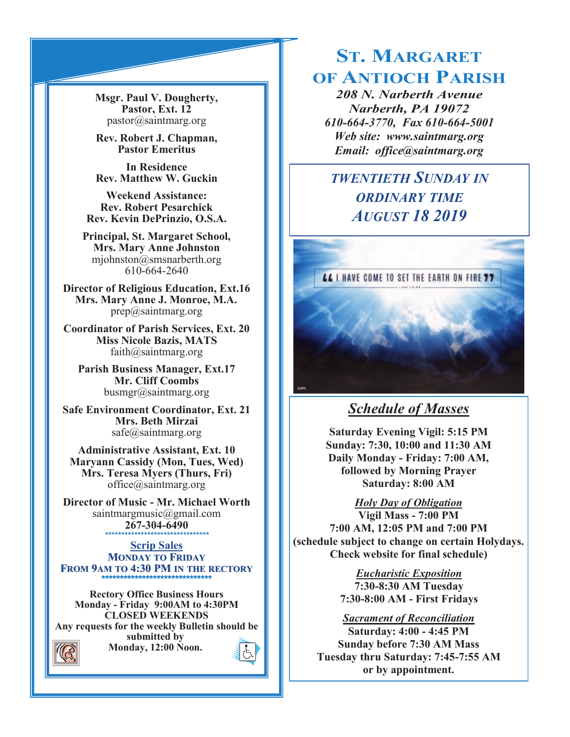**Msgr. Paul V. Dougherty, Pastor, Ext. 12** pastor@saintmarg.org

**Rev. Robert J. Chapman, Pastor Emeritus**

**In Residence Rev. Matthew W. Guckin**

**Weekend Assistance: Rev. Robert Pesarchick Rev. Kevin DePrinzio, O.S.A.**

**Principal, St. Margaret School, Mrs. Mary Anne Johnston**  mjohnston@smsnarberth.org 610-664-2640

**Director of Religious Education, Ext.16 Mrs. Mary Anne J. Monroe, M.A.** prep@saintmarg.org

**Coordinator of Parish Services, Ext. 20 Miss Nicole Bazis, MATS** faith@saintmarg.org

**Parish Business Manager, Ext.17 Mr. Cliff Coombs** busmgr@saintmarg.org

**Safe Environment Coordinator, Ext. 21 Mrs. Beth Mirzai** safe@saintmarg.org

**Administrative Assistant, Ext. 10 Maryann Cassidy (Mon, Tues, Wed) Mrs. Teresa Myers (Thurs, Fri)** office@saintmarg.org

**Director of Music - Mr. Michael Worth** saintmargmusic@gmail.com **267-304-6490** *\*\*\*\*\*\*\*\*\*\*\*\*\*\*\*\*\*\*\*\*\*\*\*\*\*\*\*\*\*\*\*\**

**Scrip Sales MONDAY TO FRIDAY FROM 9AM TO 4:30 PM IN THE RECTORY \*\*\*\*\*\*\*\*\*\*\*\*\*\*\*\*\*\*\*\*\*\*\*\*\*\*\*\*\*\*** 

**Rectory Office Business Hours Monday - Friday 9:00AM to 4:30PM CLOSED WEEKENDS Any requests for the weekly Bulletin should be submitted by Monday, 12:00 Noon.** 

# **ST. MARGARET OF ANTIOCH PARISH**

*208 N. Narberth Avenue Narberth, PA 19072 610-664-3770, Fax 610-664-5001 Web site: www.saintmarg.org Email: office@saintmarg.org*

# *TWENTIETH SUNDAY IN ORDINARY TIME AUGUST 18 2019*



# *Schedule of Masses*

**Saturday Evening Vigil: 5:15 PM Sunday: 7:30, 10:00 and 11:30 AM Daily Monday - Friday: 7:00 AM, followed by Morning Prayer Saturday: 8:00 AM**

*Holy Day of Obligation*

**Vigil Mass - 7:00 PM 7:00 AM, 12:05 PM and 7:00 PM (schedule subject to change on certain Holydays. Check website for final schedule)**

> *Eucharistic Exposition*  **7:30-8:30 AM Tuesday 7:30-8:00 AM - First Fridays**

*Sacrament of Reconciliation*

**Saturday: 4:00 - 4:45 PM Sunday before 7:30 AM Mass Tuesday thru Saturday: 7:45-7:55 AM or by appointment.**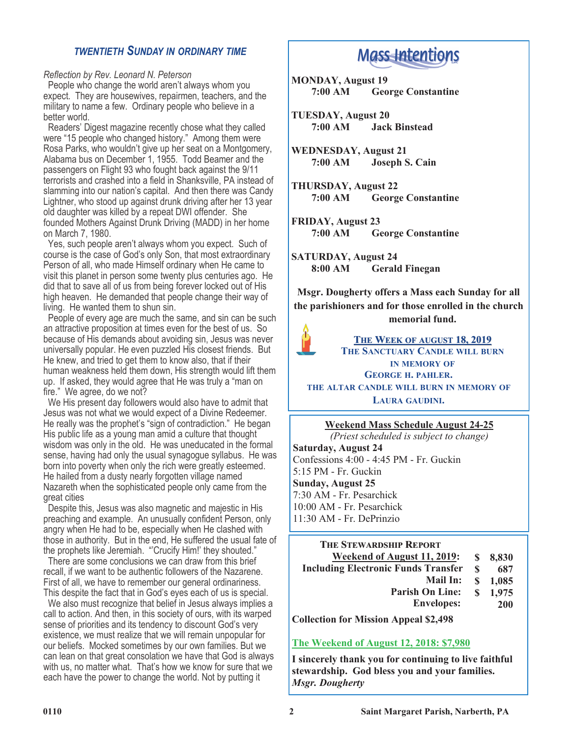## *TWENTIETH SUNDAY IN ORDINARY TIME*

*Reflection by Rev. Leonard N. Peterson*

 People who change the world aren't always whom you expect. They are housewives, repairmen, teachers, and the military to name a few. Ordinary people who believe in a better world.

 Readers' Digest magazine recently chose what they called were "15 people who changed history." Among them were Rosa Parks, who wouldn't give up her seat on a Montgomery, Alabama bus on December 1, 1955. Todd Beamer and the passengers on Flight 93 who fought back against the 9/11 terrorists and crashed into a field in Shanksville, PA instead of slamming into our nation's capital. And then there was Candy Lightner, who stood up against drunk driving after her 13 year old daughter was killed by a repeat DWI offender. She founded Mothers Against Drunk Driving (MADD) in her home on March 7, 1980.

 Yes, such people aren't always whom you expect. Such of course is the case of God's only Son, that most extraordinary Person of all, who made Himself ordinary when He came to visit this planet in person some twenty plus centuries ago. He did that to save all of us from being forever locked out of His high heaven. He demanded that people change their way of living. He wanted them to shun sin.

 People of every age are much the same, and sin can be such an attractive proposition at times even for the best of us. So because of His demands about avoiding sin, Jesus was never universally popular. He even puzzled His closest friends. But He knew, and tried to get them to know also, that if their human weakness held them down, His strength would lift them up. If asked, they would agree that He was truly a "man on fire." We agree, do we not?

 We His present day followers would also have to admit that Jesus was not what we would expect of a Divine Redeemer. He really was the prophet's "sign of contradiction." He began His public life as a young man amid a culture that thought wisdom was only in the old. He was uneducated in the formal sense, having had only the usual synagogue syllabus. He was born into poverty when only the rich were greatly esteemed. He hailed from a dusty nearly forgotten village named Nazareth when the sophisticated people only came from the great cities

 Despite this, Jesus was also magnetic and majestic in His preaching and example. An unusually confident Person, only angry when He had to be, especially when He clashed with those in authority. But in the end, He suffered the usual fate of the prophets like Jeremiah. "'Crucify Him!' they shouted."

 There are some conclusions we can draw from this brief recall, if we want to be authentic followers of the Nazarene. First of all, we have to remember our general ordinariness. This despite the fact that in God's eyes each of us is special.

 We also must recognize that belief in Jesus always implies a call to action. And then, in this society of ours, with its warped sense of priorities and its tendency to discount God's very existence, we must realize that we will remain unpopular for our beliefs. Mocked sometimes by our own families. But we can lean on that great consolation we have that God is always with us, no matter what. That's how we know for sure that we each have the power to change the world. Not by putting it

# **Mass Intentions**

**MONDAY, August 19 7:00 AM George Constantine**

**TUESDAY, August 20 7:00 AM Jack Binstead**

**WEDNESDAY, August 21 7:00 AM Joseph S. Cain**

**THURSDAY, August 22 7:00 AM George Constantine**

**FRIDAY, August 23 7:00 AM George Constantine**

**SATURDAY, August 24 8:00 AM Gerald Finegan**

**Msgr. Dougherty offers a Mass each Sunday for all the parishioners and for those enrolled in the church memorial fund.**



## **THE WEEK OF AUGUST 18, 2019 THE SANCTUARY CANDLE WILL BURN IN MEMORY OF GEORGE H. PAHLER.**

**THE ALTAR CANDLE WILL BURN IN MEMORY OF LAURA GAUDINI.**

#### **Weekend Mass Schedule August 24-25**

*(Priest scheduled is subject to change)* **Saturday, August 24** Confessions 4:00 - 4:45 PM - Fr. Guckin 5:15 PM - Fr. Guckin **Sunday, August 25** 7:30 AM - Fr. Pesarchick 10:00 AM - Fr. Pesarchick 11:30 AM - Fr. DePrinzio

#### **THE STEWARDSHIP REPORT**

| Weekend of August 11, 2019:                | S.  | 8,830      |
|--------------------------------------------|-----|------------|
| <b>Including Electronic Funds Transfer</b> | S   | 687        |
| <b>Mail In:</b>                            | SS. | 1,085      |
| <b>Parish On Line:</b>                     | S.  | 1.975      |
| <b>Envelopes:</b>                          |     | <b>200</b> |

**Collection for Mission Appeal \$2,498**

#### **The Weekend of August 12, 2018: \$7,980**

**I sincerely thank you for continuing to live faithful stewardship. God bless you and your families.** *Msgr. Dougherty*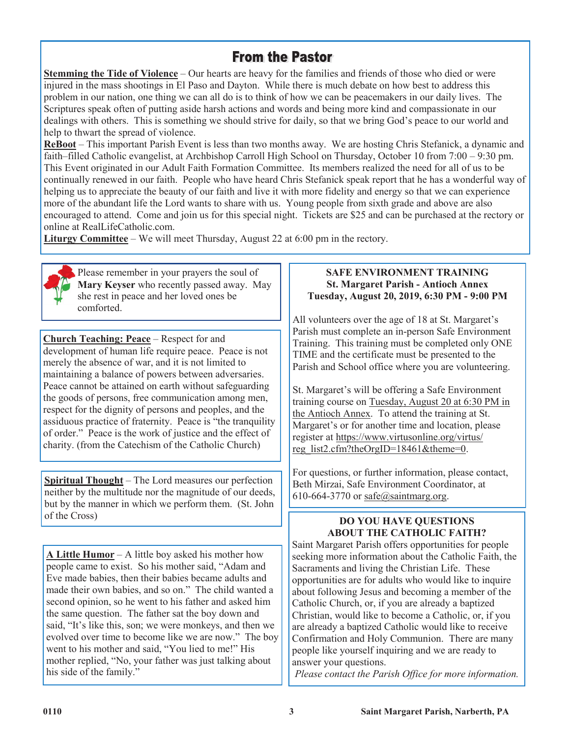## **From the Pastor**

**Stemming the Tide of Violence** – Our hearts are heavy for the families and friends of those who died or were injured in the mass shootings in El Paso and Dayton. While there is much debate on how best to address this problem in our nation, one thing we can all do is to think of how we can be peacemakers in our daily lives. The Scriptures speak often of putting aside harsh actions and words and being more kind and compassionate in our dealings with others. This is something we should strive for daily, so that we bring God's peace to our world and help to thwart the spread of violence.

**ReBoot** – This important Parish Event is less than two months away. We are hosting Chris Stefanick, a dynamic and faith–filled Catholic evangelist, at Archbishop Carroll High School on Thursday, October 10 from 7:00 – 9:30 pm. This Event originated in our Adult Faith Formation Committee. Its members realized the need for all of us to be continually renewed in our faith. People who have heard Chris Stefanick speak report that he has a wonderful way of helping us to appreciate the beauty of our faith and live it with more fidelity and energy so that we can experience more of the abundant life the Lord wants to share with us. Young people from sixth grade and above are also encouraged to attend. Come and join us for this special night. Tickets are \$25 and can be purchased at the rectory or online at RealLifeCatholic.com.

**Liturgy Committee** – We will meet Thursday, August 22 at 6:00 pm in the rectory.



Please remember in your prayers the soul of **Mary Keyser** who recently passed away. May she rest in peace and her loved ones be comforted.

**Church Teaching: Peace** – Respect for and development of human life require peace. Peace is not merely the absence of war, and it is not limited to maintaining a balance of powers between adversaries. Peace cannot be attained on earth without safeguarding the goods of persons, free communication among men, respect for the dignity of persons and peoples, and the assiduous practice of fraternity. Peace is "the tranquility of order." Peace is the work of justice and the effect of charity. (from the Catechism of the Catholic Church)

**Spiritual Thought** – The Lord measures our perfection neither by the multitude nor the magnitude of our deeds, but by the manner in which we perform them. (St. John of the Cross)

**A Little Humor** – A little boy asked his mother how people came to exist. So his mother said, "Adam and Eve made babies, then their babies became adults and made their own babies, and so on." The child wanted a second opinion, so he went to his father and asked him the same question. The father sat the boy down and said, "It's like this, son; we were monkeys, and then we evolved over time to become like we are now." The boy went to his mother and said, "You lied to me!" His mother replied, "No, your father was just talking about his side of the family."

### **SAFE ENVIRONMENT TRAINING St. Margaret Parish - Antioch Annex Tuesday, August 20, 2019, 6:30 PM - 9:00 PM**

All volunteers over the age of 18 at St. Margaret's Parish must complete an in-person Safe Environment Training. This training must be completed only ONE TIME and the certificate must be presented to the Parish and School office where you are volunteering.

St. Margaret's will be offering a Safe Environment training course on Tuesday, August 20 at 6:30 PM in the Antioch Annex. To attend the training at St. Margaret's or for another time and location, please register at https://www.virtusonline.org/virtus/ reg\_list2.cfm?theOrgID=18461&theme=0.

For questions, or further information, please contact, Beth Mirzai, Safe Environment Coordinator, at 610-664-3770 or safe@saintmarg.org.

## **DO YOU HAVE QUESTIONS ABOUT THE CATHOLIC FAITH?**

Saint Margaret Parish offers opportunities for people seeking more information about the Catholic Faith, the Sacraments and living the Christian Life. These opportunities are for adults who would like to inquire about following Jesus and becoming a member of the Catholic Church, or, if you are already a baptized Christian, would like to become a Catholic, or, if you are already a baptized Catholic would like to receive Confirmation and Holy Communion. There are many people like yourself inquiring and we are ready to answer your questions.

*Please contact the Parish Office for more information.*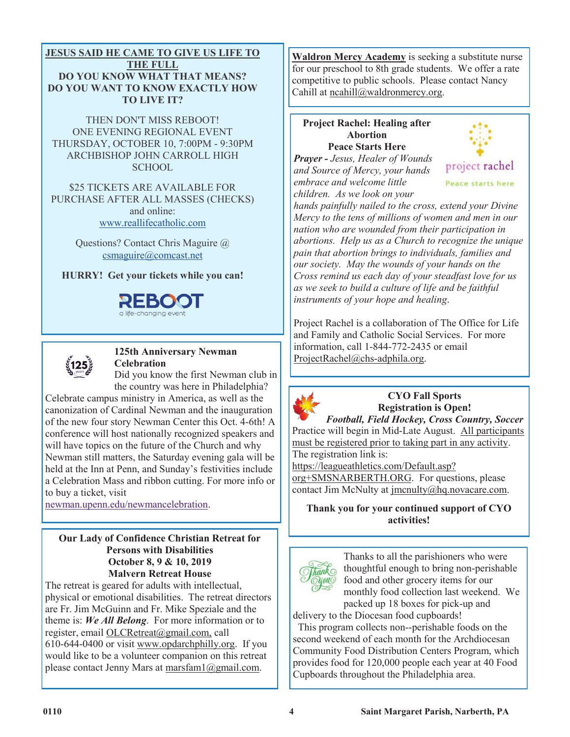#### **JESUS SAID HE CAME TO GIVE US LIFE TO THE FULL DO YOU KNOW WHAT THAT MEANS? DO YOU WANT TO KNOW EXACTLY HOW TO LIVE IT?**

THEN DON'T MISS REBOOT! ONE EVENING REGIONAL EVENT THURSDAY, OCTOBER 10, 7:00PM - 9:30PM ARCHBISHOP JOHN CARROLL HIGH SCHOOL

\$25 TICKETS ARE AVAILABLE FOR PURCHASE AFTER ALL MASSES (CHECKS) and online: [www.reallifecatholic.com](http://www.reallifecatholic.com/)

> Questions? Contact Chris Maguire @ [csmaguire@comcast.net](mailto:csmaguire@comcast.net)

**HURRY! Get your tickets while you can!**





## **125th Anniversary Newman Celebration**

Did you know the first Newman club in the country was here in Philadelphia?

Celebrate campus ministry in America, as well as the canonization of Cardinal Newman and the inauguration of the new four story Newman Center this Oct. 4-6th! A conference will host nationally recognized speakers and will have topics on the future of the Church and why Newman still matters, the Saturday evening gala will be held at the Inn at Penn, and Sunday's festivities include a Celebration Mass and ribbon cutting. For more info or to buy a ticket, visit

[newman.upenn.edu/newmancelebration.](http://newman.upenn.edu/newmancelebration)

#### **Our Lady of Confidence Christian Retreat for Persons with Disabilities October 8, 9 & 10, 2019 Malvern Retreat House**

The retreat is geared for adults with intellectual, physical or emotional disabilities. The retreat directors are Fr. Jim McGuinn and Fr. Mike Speziale and the theme is: *We All Belong*. For more information or to register, email OLCRetreat@gmail.com, call 610-644-0400 or visit www.opdarchphilly.org. If you would like to be a volunteer companion on this retreat please contact Jenny Mars at marsfam1@gmail.com.

**Waldron Mercy Academy** is seeking a substitute nurse for our preschool to 8th grade students. We offer a rate competitive to public schools. Please contact Nancy Cahill at ncahill@waldronmercy.org.

#### **Project Rachel: Healing after Abortion Peace Starts Here**

*Prayer - Jesus, Healer of Wounds and Source of Mercy, your hands embrace and welcome little children. As we look on your* 



*hands painfully nailed to the cross, extend your Divine Mercy to the tens of millions of women and men in our nation who are wounded from their participation in abortions. Help us as a Church to recognize the unique pain that abortion brings to individuals, families and our society. May the wounds of your hands on the Cross remind us each day of your steadfast love for us as we seek to build a culture of life and be faithful instruments of your hope and healing*.

Project Rachel is a collaboration of The Office for Life and Family and Catholic Social Services. For more information, call 1-844-772-2435 or email ProjectRachel@chs-adphila.org.



## **CYO Fall Sports Registration is Open!**

*Football, Field Hockey, Cross Country, Soccer* Practice will begin in Mid-Late August. All participants must be registered prior to taking part in any activity. The registration link is:

https://leagueathletics.com/Default.asp? org+SMSNARBERTH.ORG. For questions, please contact Jim McNulty at *jmcnulty@hq.novacare.com.* 

**Thank you for your continued support of CYO activities!**



Thanks to all the parishioners who were thoughtful enough to bring non-perishable food and other grocery items for our monthly food collection last weekend. We packed up 18 boxes for pick-up and

delivery to the Diocesan food cupboards! This program collects non--perishable foods on the second weekend of each month for the Archdiocesan Community Food Distribution Centers Program, which provides food for 120,000 people each year at 40 Food Cupboards throughout the Philadelphia area.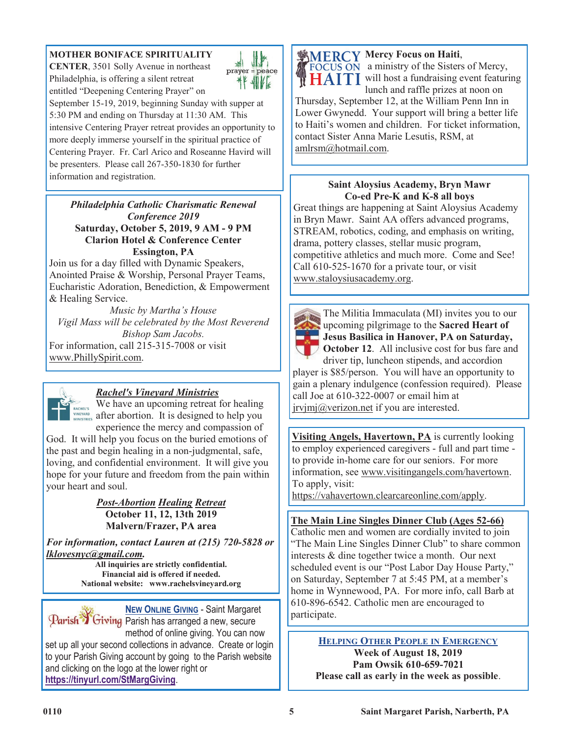## **MOTHER BONIFACE SPIRITUALITY**

**CENTER**, 3501 Solly Avenue in northeast Philadelphia, is offering a silent retreat entitled "Deepening Centering Prayer" on



September 15-19, 2019, beginning Sunday with supper at 5:30 PM and ending on Thursday at 11:30 AM. This intensive Centering Prayer retreat provides an opportunity to more deeply immerse yourself in the spiritual practice of Centering Prayer. Fr. Carl Arico and Roseanne Havird will be presenters. Please call 267-350-1830 for further information and registration.

*Philadelphia Catholic Charismatic Renewal Conference 2019* **Saturday, October 5, 2019, 9 AM - 9 PM Clarion Hotel & Conference Center Essington, PA**

Join us for a day filled with Dynamic Speakers, Anointed Praise & Worship, Personal Prayer Teams, Eucharistic Adoration, Benediction, & Empowerment & Healing Service.

*Music by Martha's House Vigil Mass will be celebrated by the Most Reverend Bishop Sam Jacobs.* For information, call 215-315-7008 or visit www.PhillySpirit.com.



## *Rachel's Vineyard Ministries*

We have an upcoming retreat for healing  $\frac{M_{\text{RACHEVS}}}{M_{\text{MINSE}/\text{NASE}}}$  we nave an upcoming retreat for nearing  $\frac{M_{\text{NAE}/\text{NASE}}}{M_{\text{MASE}/\text{NASE}}}$  after abortion. It is designed to help you experience the mercy and compassion of

God. It will help you focus on the buried emotions of the past and begin healing in a non-judgmental, safe, loving, and confidential environment. It will give you hope for your future and freedom from the pain within your heart and soul.

> *Post-Abortion Healing Retreat* **October 11, 12, 13th 2019 Malvern/Frazer, PA area**

*For information, contact Lauren at (215) 720-5828 or lklovesnyc@gmail.com.*

**All inquiries are strictly confidential. Financial aid is offered if needed. National website: www.rachelsvineyard.org**

**NEW ONLINE GIVING** - Saint Margaret Parish Civing Parish has arranged a new, secure method of online giving. You can now set up all your second collections in advance. Create or login to your Parish Giving account by going to the Parish website and clicking on the logo at the lower right or **<https://tinyurl.com/StMargGiving>**.



**Mercy Focus on Haiti**, a ministry of the Sisters of Mercy, HAITI will host a fundraising event featuring lunch and raffle prizes at noon on

Thursday, September 12, at the William Penn Inn in Lower Gwynedd. Your support will bring a better life to Haiti's women and children. For ticket information, contact Sister Anna Marie Lesutis, RSM, at amlrsm@hotmail.com.

## **Saint Aloysius Academy, Bryn Mawr Co-ed Pre-K and K-8 all boys**

Great things are happening at Saint Aloysius Academy in Bryn Mawr. Saint AA offers advanced programs, STREAM, robotics, coding, and emphasis on writing, drama, pottery classes, stellar music program, competitive athletics and much more. Come and See! Call 610-525-1670 for a private tour, or visit www.staloysiusacademy.org.



The Militia Immaculata (MI) invites you to our upcoming pilgrimage to the **Sacred Heart of Jesus Basilica in Hanover, PA on Saturday, October 12.** All inclusive cost for bus fare and

driver tip, luncheon stipends, and accordion player is \$85/person. You will have an opportunity to gain a plenary indulgence (confession required). Please call Joe at 610-322-0007 or email him at jrvjmj@verizon.net if you are interested.

**Visiting Angels, Havertown, PA** is currently looking to employ experienced caregivers - full and part time to provide in-home care for our seniors. For more information, see www.visitingangels.com/havertown. To apply, visit:

https://vahavertown.clearcareonline.com/apply.

## **The Main Line Singles Dinner Club (Ages 52-66)**

Catholic men and women are cordially invited to join "The Main Line Singles Dinner Club" to share common interests & dine together twice a month. Our next scheduled event is our "Post Labor Day House Party," on Saturday, September 7 at 5:45 PM, at a member's home in Wynnewood, PA. For more info, call Barb at 610-896-6542. Catholic men are encouraged to participate.

> **HELPING OTHER PEOPLE IN EMERGENCY Week of August 18, 2019 Pam Owsik 610-659-7021 Please call as early in the week as possible**.